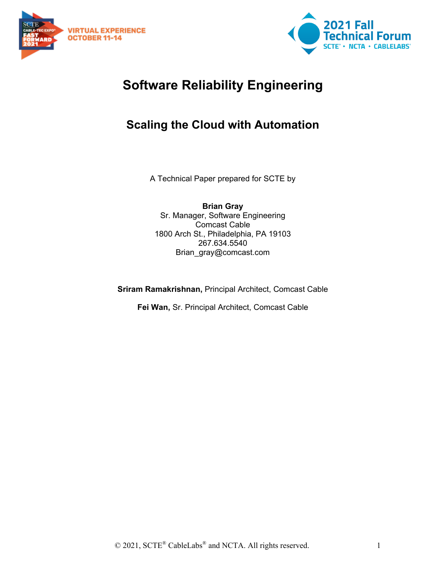



# **Software Reliability Engineering**

# **Scaling the Cloud with Automation**

A Technical Paper prepared for SCTE by

**Brian Gray** Sr. Manager, Software Engineering Comcast Cable 1800 Arch St., Philadelphia, PA 19103 267.634.5540 Brian\_gray@comcast.com

**Sriram Ramakrishnan,** Principal Architect, Comcast Cable

**Fei Wan,** Sr. Principal Architect, Comcast Cable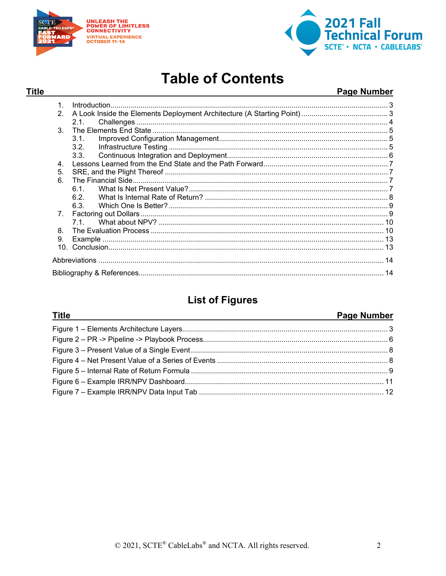

**Title** 



# **Table of Contents**

### Page Number

| 1.             |      |  |  |  |  |  |  |
|----------------|------|--|--|--|--|--|--|
| $\mathcal{P}$  |      |  |  |  |  |  |  |
|                | 2.1. |  |  |  |  |  |  |
| 3              |      |  |  |  |  |  |  |
|                | 3.1. |  |  |  |  |  |  |
|                | 3.2. |  |  |  |  |  |  |
|                | 3.3  |  |  |  |  |  |  |
| 4 <sup>1</sup> |      |  |  |  |  |  |  |
| 5.             |      |  |  |  |  |  |  |
| 6.             |      |  |  |  |  |  |  |
|                | 61   |  |  |  |  |  |  |
|                | 62   |  |  |  |  |  |  |
|                | 6.3. |  |  |  |  |  |  |
|                |      |  |  |  |  |  |  |
|                |      |  |  |  |  |  |  |
| 8              |      |  |  |  |  |  |  |
| 9.             |      |  |  |  |  |  |  |
|                |      |  |  |  |  |  |  |
|                |      |  |  |  |  |  |  |
|                |      |  |  |  |  |  |  |

# **List of Figures**

| <b>Title</b> | <b>Page Number</b> |
|--------------|--------------------|
|              |                    |
|              |                    |
|              |                    |
|              |                    |
|              |                    |
|              |                    |
|              |                    |

© 2021, SCTE® CableLabs® and NCTA. All rights reserved.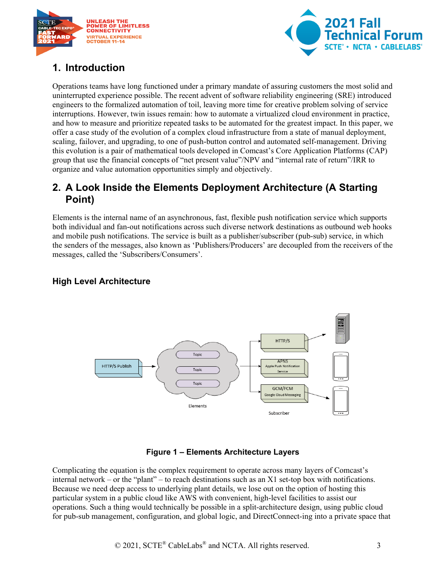



# <span id="page-2-0"></span>**1. Introduction**

Operations teams have long functioned under a primary mandate of assuring customers the most solid and uninterrupted experience possible. The recent advent of software reliability engineering (SRE) introduced engineers to the formalized automation of toil, leaving more time for creative problem solving of service interruptions. However, twin issues remain: how to automate a virtualized cloud environment in practice, and how to measure and prioritize repeated tasks to be automated for the greatest impact. In this paper, we offer a case study of the evolution of a complex cloud infrastructure from a state of manual deployment, scaling, failover, and upgrading, to one of push-button control and automated self-management. Driving this evolution is a pair of mathematical tools developed in Comcast's Core Application Platforms (CAP) group that use the financial concepts of "net present value"/NPV and "internal rate of return"/IRR to organize and value automation opportunities simply and objectively.

## <span id="page-2-1"></span>**2. A Look Inside the Elements Deployment Architecture (A Starting Point)**

Elements is the internal name of an asynchronous, fast, flexible push notification service which supports both individual and fan-out notifications across such diverse network destinations as outbound web hooks and mobile push notifications. The service is built as a publisher/subscriber (pub-sub) service, in which the senders of the messages, also known as 'Publishers/Producers' are decoupled from the receivers of the messages, called the 'Subscribers/Consumers'.

### **High Level Architecture**



#### **Figure 1 – Elements Architecture Layers**

<span id="page-2-2"></span>Complicating the equation is the complex requirement to operate across many layers of Comcast's internal network – or the "plant" – to reach destinations such as an X1 set-top box with notifications. Because we need deep access to underlying plant details, we lose out on the option of hosting this particular system in a public cloud like AWS with convenient, high-level facilities to assist our operations. Such a thing would technically be possible in a split-architecture design, using public cloud for pub-sub management, configuration, and global logic, and DirectConnect-ing into a private space that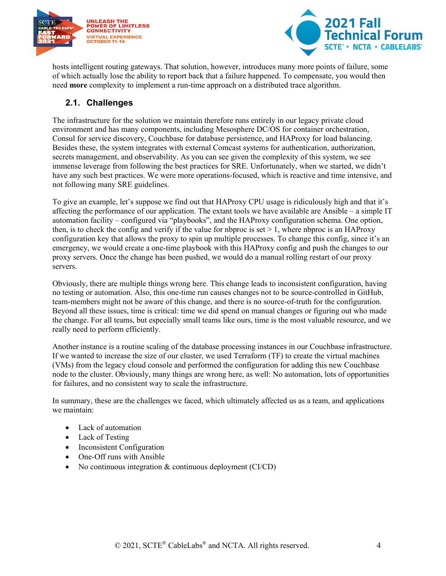



hosts intelligent routing gateways. That solution, however, introduces many more points of failure, some of which actually lose the ability to report back that a failure happened. To compensate, you would then need **more** complexity to implement a run-time approach on a distributed trace algorithm.

#### <span id="page-3-0"></span>**2.1. Challenges**

The infrastructure for the solution we maintain therefore runs entirely in our legacy private cloud environment and has many components, including Mesosphere DC/OS for container orchestration, Consul for service discovery, Couchbase for database persistence, and HAProxy for load balancing. Besides these, the system integrates with external Comcast systems for authentication, authorization, secrets management, and observability. As you can see given the complexity of this system, we see immense leverage from following the best practices for SRE. Unfortunately, when we started, we didn't have any such best practices. We were more operations-focused, which is reactive and time intensive, and not following many SRE guidelines.

To give an example, let's suppose we find out that HAProxy CPU usage is ridiculously high and that it's affecting the performance of our application. The extant tools we have available are Ansible – a simple IT automation facility – configured via "playbooks", and the HAProxy configuration schema. One option, then, is to check the config and verify if the value for nbproc is set  $> 1$ , where nbproc is an HAProxy configuration key that allows the proxy to spin up multiple processes. To change this config, since it's an emergency, we would create a one-time playbook with this HAProxy config and push the changes to our proxy servers. Once the change has been pushed, we would do a manual rolling restart of our proxy servers.

Obviously, there are multiple things wrong here. This change leads to inconsistent configuration, having no testing or automation. Also, this one-time run causes changes not to be source-controlled in GitHub, team-members might not be aware of this change, and there is no source-of-truth for the configuration. Beyond all these issues, time is critical: time we did spend on manual changes or figuring out who made the change. For all teams, but especially small teams like ours, time is the most valuable resource, and we really need to perform efficiently.

Another instance is a routine scaling of the database processing instances in our Couchbase infrastructure. If we wanted to increase the size of our cluster, we used Terraform (TF) to create the virtual machines (VMs) from the legacy cloud console and performed the configuration for adding this new Couchbase node to the cluster. Obviously, many things are wrong here, as well: No automation, lots of opportunities for failures, and no consistent way to scale the infrastructure.

In summary, these are the challenges we faced, which ultimately affected us as a team, and applications we maintain:

- Lack of automation
- Lack of Testing
- Inconsistent Configuration
- One-Off runs with Ansible
- No continuous integration & continuous deployment (CI/CD)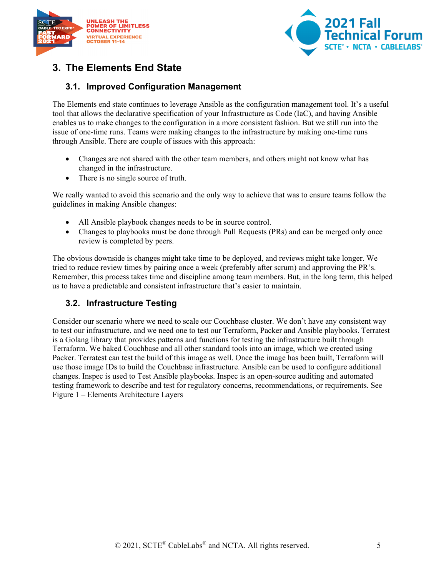



# <span id="page-4-0"></span>**3. The Elements End State**

#### <span id="page-4-1"></span>**3.1. Improved Configuration Management**

The Elements end state continues to leverage Ansible as the configuration management tool. It's a useful tool that allows the declarative specification of your Infrastructure as Code (IaC), and having Ansible enables us to make changes to the configuration in a more consistent fashion. But we still run into the issue of one-time runs. Teams were making changes to the infrastructure by making one-time runs through Ansible. There are couple of issues with this approach:

- Changes are not shared with the other team members, and others might not know what has changed in the infrastructure.
- There is no single source of truth.

We really wanted to avoid this scenario and the only way to achieve that was to ensure teams follow the guidelines in making Ansible changes:

- All Ansible playbook changes needs to be in source control.
- Changes to playbooks must be done through Pull Requests (PRs) and can be merged only once review is completed by peers.

The obvious downside is changes might take time to be deployed, and reviews might take longer. We tried to reduce review times by pairing once a week (preferably after scrum) and approving the PR's. Remember, this process takes time and discipline among team members. But, in the long term, this helped us to have a predictable and consistent infrastructure that's easier to maintain.

#### <span id="page-4-2"></span>**3.2. Infrastructure Testing**

Consider our scenario where we need to scale our Couchbase cluster. We don't have any consistent way to test our infrastructure, and we need one to test our Terraform, Packer and Ansible playbooks. Terratest is a Golang library that provides patterns and functions for testing the infrastructure built through Terraform. We baked Couchbase and all other standard tools into an image, which we created using Packer. Terratest can test the build of this image as well. Once the image has been built, Terraform will use those image IDs to build the Couchbase infrastructure. Ansible can be used to configure additional changes. Inspec is used to Test Ansible playbooks. Inspec is an open-source auditing and automated testing framework to describe and test for regulatory concerns, recommendations, or requirements. See Figure 1 – [Elements Architecture Layers](#page-2-2)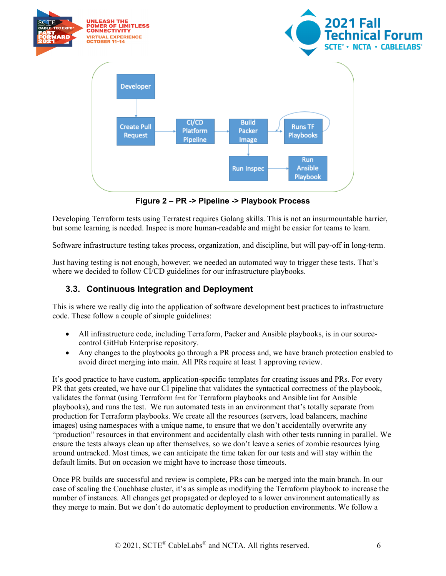

**Figure 2 – PR -> Pipeline -> Playbook Process**

<span id="page-5-1"></span>Developing Terraform tests using Terratest requires Golang skills. This is not an insurmountable barrier, but some learning is needed. Inspec is more human-readable and might be easier for teams to learn.

Software infrastructure testing takes process, organization, and discipline, but will pay-off in long-term.

Just having testing is not enough, however; we needed an automated way to trigger these tests. That's where we decided to follow CI/CD guidelines for our infrastructure playbooks.

#### <span id="page-5-0"></span>**3.3. Continuous Integration and Deployment**

This is where we really dig into the application of software development best practices to infrastructure code. These follow a couple of simple guidelines:

- All infrastructure code, including Terraform, Packer and Ansible playbooks, is in our sourcecontrol GitHub Enterprise repository.
- Any changes to the playbooks go through a PR process and, we have branch protection enabled to avoid direct merging into main. All PRs require at least 1 approving review.

It's good practice to have custom, application-specific templates for creating issues and PRs. For every PR that gets created, we have our CI pipeline that validates the syntactical correctness of the playbook, validates the format (using Terraform fmt for Terraform playbooks and Ansible lint for Ansible playbooks), and runs the test. We run automated tests in an environment that's totally separate from production for Terraform playbooks. We create all the resources (servers, load balancers, machine images) using namespaces with a unique name, to ensure that we don't accidentally overwrite any "production" resources in that environment and accidentally clash with other tests running in parallel. We ensure the tests always clean up after themselves, so we don't leave a series of zombie resources lying around untracked. Most times, we can anticipate the time taken for our tests and will stay within the default limits. But on occasion we might have to increase those timeouts.

Once PR builds are successful and review is complete, PRs can be merged into the main branch. In our case of scaling the Couchbase cluster, it's as simple as modifying the Terraform playbook to increase the number of instances. All changes get propagated or deployed to a lower environment automatically as they merge to main. But we don't do automatic deployment to production environments. We follow a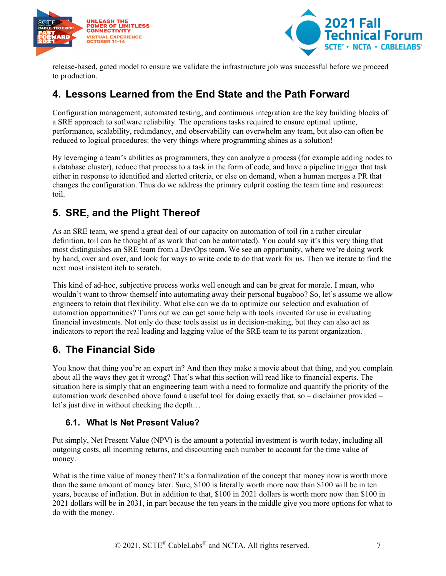



release-based, gated model to ensure we validate the infrastructure job was successful before we proceed to production.

## <span id="page-6-0"></span>**4. Lessons Learned from the End State and the Path Forward**

Configuration management, automated testing, and continuous integration are the key building blocks of a SRE approach to software reliability. The operations tasks required to ensure optimal uptime, performance, scalability, redundancy, and observability can overwhelm any team, but also can often be reduced to logical procedures: the very things where programming shines as a solution!

By leveraging a team's abilities as programmers, they can analyze a process (for example adding nodes to a database cluster), reduce that process to a task in the form of code, and have a pipeline trigger that task either in response to identified and alerted criteria, or else on demand, when a human merges a PR that changes the configuration. Thus do we address the primary culprit costing the team time and resources: toil.

# <span id="page-6-1"></span>**5. SRE, and the Plight Thereof**

As an SRE team, we spend a great deal of our capacity on automation of toil (in a rather circular definition, toil can be thought of as work that can be automated). You could say it's this very thing that most distinguishes an SRE team from a DevOps team. We see an opportunity, where we're doing work by hand, over and over, and look for ways to write code to do that work for us. Then we iterate to find the next most insistent itch to scratch.

This kind of ad-hoc, subjective process works well enough and can be great for morale. I mean, who wouldn't want to throw themself into automating away their personal bugaboo? So, let's assume we allow engineers to retain that flexibility. What else can we do to optimize our selection and evaluation of automation opportunities? Turns out we can get some help with tools invented for use in evaluating financial investments. Not only do these tools assist us in decision-making, but they can also act as indicators to report the real leading and lagging value of the SRE team to its parent organization.

## <span id="page-6-2"></span>**6. The Financial Side**

You know that thing you're an expert in? And then they make a movie about that thing, and you complain about all the ways they get it wrong? That's what this section will read like to financial experts. The situation here is simply that an engineering team with a need to formalize and quantify the priority of the automation work described above found a useful tool for doing exactly that, so – disclaimer provided – let's just dive in without checking the depth…

#### <span id="page-6-3"></span>**6.1. What Is Net Present Value?**

Put simply, Net Present Value (NPV) is the amount a potential investment is worth today, including all outgoing costs, all incoming returns, and discounting each number to account for the time value of money.

What is the time value of money then? It's a formalization of the concept that money now is worth more than the same amount of money later. Sure, \$100 is literally worth more now than \$100 will be in ten years, because of inflation. But in addition to that, \$100 in 2021 dollars is worth more now than \$100 in 2021 dollars will be in 2031, in part because the ten years in the middle give you more options for what to do with the money.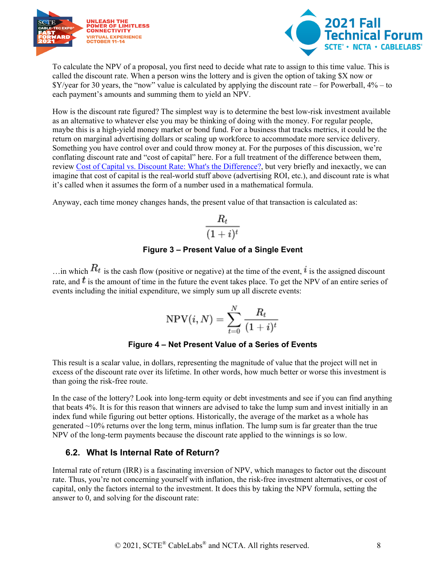



To calculate the NPV of a proposal, you first need to decide what rate to assign to this time value. This is called the discount rate. When a person wins the lottery and is given the option of taking \$X now or \$Y/year for 30 years, the "now" value is calculated by applying the discount rate – for Powerball, 4% – to each payment's amounts and summing them to yield an NPV.

How is the discount rate figured? The simplest way is to determine the best low-risk investment available as an alternative to whatever else you may be thinking of doing with the money. For regular people, maybe this is a high-yield money market or bond fund. For a business that tracks metrics, it could be the return on marginal advertising dollars or scaling up workforce to accommodate more service delivery. Something you have control over and could throw money at. For the purposes of this discussion, we're conflating discount rate and "cost of capital" here. For a full treatment of the difference between them, review [Cost of Capital vs. Discount Rate: What's the Difference?,](#page-13-1) but very briefly and inexactly, we can imagine that cost of capital is the real-world stuff above (advertising ROI, etc.), and discount rate is what it's called when it assumes the form of a number used in a mathematical formula.

Anyway, each time money changes hands, the present value of that transaction is calculated as:

$$
\frac{R_t}{(1+i)^t}
$$

#### **Figure 3 – Present Value of a Single Event**

<span id="page-7-1"></span>…in which  $R_t$  is the cash flow (positive or negative) at the time of the event, it is the assigned discount rate, and  $t$  is the amount of time in the future the event takes place. To get the NPV of an entire series of events including the initial expenditure, we simply sum up all discrete events:

$$
\mathrm{NPV}(i,N) = \sum_{t=0}^N \frac{R_t}{(1+i)^t}
$$

#### **Figure 4 – Net Present Value of a Series of Events**

<span id="page-7-2"></span>This result is a scalar value, in dollars, representing the magnitude of value that the project will net in excess of the discount rate over its lifetime. In other words, how much better or worse this investment is than going the risk-free route.

In the case of the lottery? Look into long-term equity or debt investments and see if you can find anything that beats 4%. It is for this reason that winners are advised to take the lump sum and invest initially in an index fund while figuring out better options. Historically, the average of the market as a whole has generated  $\sim$ 10% returns over the long term, minus inflation. The lump sum is far greater than the true NPV of the long-term payments because the discount rate applied to the winnings is so low.

#### <span id="page-7-0"></span>**6.2. What Is Internal Rate of Return?**

Internal rate of return (IRR) is a fascinating inversion of NPV, which manages to factor out the discount rate. Thus, you're not concerning yourself with inflation, the risk-free investment alternatives, or cost of capital, only the factors internal to the investment. It does this by taking the NPV formula, setting the answer to 0, and solving for the discount rate: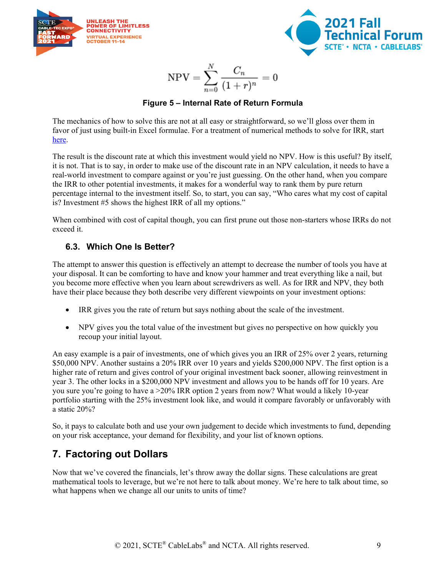



$$
\mathrm{NPV}=\sum_{n=0}^N\frac{C_n}{(1+r)^n}=0
$$

#### **Figure 5 – Internal Rate of Return Formula**

<span id="page-8-2"></span>The mechanics of how to solve this are not at all easy or straightforward, so we'll gloss over them in favor of just using built-in Excel formulae. For a treatment of numerical methods to solve for IRR, start [here.](#page-13-1)

The result is the discount rate at which this investment would yield no NPV. How is this useful? By itself, it is not. That is to say, in order to make use of the discount rate in an NPV calculation, it needs to have a real-world investment to compare against or you're just guessing. On the other hand, when you compare the IRR to other potential investments, it makes for a wonderful way to rank them by pure return percentage internal to the investment itself. So, to start, you can say, "Who cares what my cost of capital is? Investment #5 shows the highest IRR of all my options."

When combined with cost of capital though, you can first prune out those non-starters whose IRRs do not exceed it.

#### <span id="page-8-0"></span>**6.3. Which One Is Better?**

The attempt to answer this question is effectively an attempt to decrease the number of tools you have at your disposal. It can be comforting to have and know your hammer and treat everything like a nail, but you become more effective when you learn about screwdrivers as well. As for IRR and NPV, they both have their place because they both describe very different viewpoints on your investment options:

- IRR gives you the rate of return but says nothing about the scale of the investment.
- NPV gives you the total value of the investment but gives no perspective on how quickly you recoup your initial layout.

An easy example is a pair of investments, one of which gives you an IRR of 25% over 2 years, returning \$50,000 NPV. Another sustains a 20% IRR over 10 years and yields \$200,000 NPV. The first option is a higher rate of return and gives control of your original investment back sooner, allowing reinvestment in year 3. The other locks in a \$200,000 NPV investment and allows you to be hands off for 10 years. Are you sure you're going to have a >20% IRR option 2 years from now? What would a likely 10-year portfolio starting with the 25% investment look like, and would it compare favorably or unfavorably with a static 20%?

So, it pays to calculate both and use your own judgement to decide which investments to fund, depending on your risk acceptance, your demand for flexibility, and your list of known options.

## <span id="page-8-1"></span>**7. Factoring out Dollars**

Now that we've covered the financials, let's throw away the dollar signs. These calculations are great mathematical tools to leverage, but we're not here to talk about money. We're here to talk about time, so what happens when we change all our units to units of time?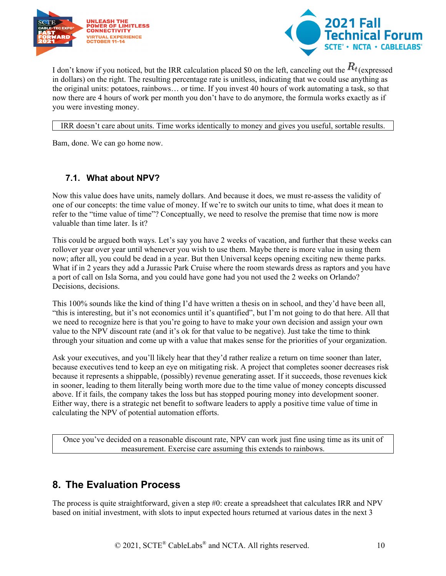



I don't know if you noticed, but the IRR calculation placed \$0 on the left, canceling out the  $R_t$  (expressed in dollars) on the right. The resulting percentage rate is unitless, indicating that we could use anything as the original units: potatoes, rainbows… or time. If you invest 40 hours of work automating a task, so that now there are 4 hours of work per month you don't have to do anymore, the formula works exactly as if you were investing money.

#### IRR doesn't care about units. Time works identically to money and gives you useful, sortable results.

Bam, done. We can go home now.

#### <span id="page-9-0"></span>**7.1. What about NPV?**

Now this value does have units, namely dollars. And because it does, we must re-assess the validity of one of our concepts: the time value of money. If we're to switch our units to time, what does it mean to refer to the "time value of time"? Conceptually, we need to resolve the premise that time now is more valuable than time later. Is it?

This could be argued both ways. Let's say you have 2 weeks of vacation, and further that these weeks can rollover year over year until whenever you wish to use them. Maybe there is more value in using them now; after all, you could be dead in a year. But then Universal keeps opening exciting new theme parks. What if in 2 years they add a Jurassic Park Cruise where the room stewards dress as raptors and you have a port of call on Isla Sorna, and you could have gone had you not used the 2 weeks on Orlando? Decisions, decisions.

This 100% sounds like the kind of thing I'd have written a thesis on in school, and they'd have been all, "this is interesting, but it's not economics until it's quantified", but I'm not going to do that here. All that we need to recognize here is that you're going to have to make your own decision and assign your own value to the NPV discount rate (and it's ok for that value to be negative). Just take the time to think through your situation and come up with a value that makes sense for the priorities of your organization.

Ask your executives, and you'll likely hear that they'd rather realize a return on time sooner than later, because executives tend to keep an eye on mitigating risk. A project that completes sooner decreases risk because it represents a shippable, (possibly) revenue generating asset. If it succeeds, those revenues kick in sooner, leading to them literally being worth more due to the time value of money concepts discussed above. If it fails, the company takes the loss but has stopped pouring money into development sooner. Either way, there is a strategic net benefit to software leaders to apply a positive time value of time in calculating the NPV of potential automation efforts.

Once you've decided on a reasonable discount rate, NPV can work just fine using time as its unit of measurement. Exercise care assuming this extends to rainbows.

## <span id="page-9-1"></span>**8. The Evaluation Process**

The process is quite straightforward, given a step #0: create a spreadsheet that calculates IRR and NPV based on initial investment, with slots to input expected hours returned at various dates in the next 3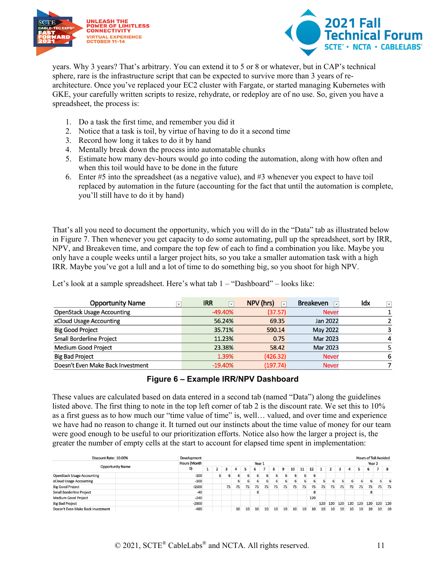



years. Why 3 years? That's arbitrary. You can extend it to 5 or 8 or whatever, but in CAP's technical sphere, rare is the infrastructure script that can be expected to survive more than 3 years of rearchitecture. Once you've replaced your EC2 cluster with Fargate, or started managing Kubernetes with GKE, your carefully written scripts to resize, rehydrate, or redeploy are of no use. So, given you have a spreadsheet, the process is:

- 1. Do a task the first time, and remember you did it
- 2. Notice that a task is toil, by virtue of having to do it a second time
- 3. Record how long it takes to do it by hand
- 4. Mentally break down the process into automatable chunks
- 5. Estimate how many dev-hours would go into coding the automation, along with how often and when this toil would have to be done in the future
- 6. Enter #5 into the spreadsheet (as a negative value), and #3 whenever you expect to have toil replaced by automation in the future (accounting for the fact that until the automation is complete, you'll still have to do it by hand)

That's all you need to document the opportunity, which you will do in the "Data" tab as illustrated below in Figure 7. Then whenever you get capacity to do some automating, pull up the spreadsheet, sort by IRR, NPV, and Breakeven time, and compare the top few of each to find a combination you like. Maybe you only have a couple weeks until a larger project hits, so you take a smaller automation task with a high IRR. Maybe you've got a lull and a lot of time to do something big, so you shoot for high NPV.

Let's look at a sample spreadsheet. Here's what tab 1 – "Dashboard" – looks like:

| <b>Opportunity Name</b><br>$\overline{\phantom{a}}$ | <b>IRR</b><br>$\overline{\phantom{a}}$ | NPV (hrs) | <b>Breakeven</b><br>$\overline{\phantom{0}}$ | Idx<br>$ + $ |
|-----------------------------------------------------|----------------------------------------|-----------|----------------------------------------------|--------------|
| <b>OpenStack Usage Accounting</b>                   | $-49.40\%$                             | (37.57)   | <b>Never</b>                                 |              |
| xCloud Usage Accounting                             | 56.24%                                 | 69.35     | Jan 2022                                     |              |
| <b>Big Good Project</b>                             | 35.71%                                 | 590.14    | May 2022                                     |              |
| <b>Small Borderline Project</b>                     | 11.23%                                 | 0.75      | Mar 2023                                     | 4            |
| Medium Good Project                                 | 23.38%                                 | 58.42     | Mar 2023                                     |              |
| <b>Big Bad Project</b>                              | 1.39%                                  | (426.32)  | <b>Never</b>                                 | 6            |
| Doesn't Even Make Back Investment                   | $-19.40%$                              | (197.74)  | <b>Never</b>                                 |              |

#### **Figure 6 – Example IRR/NPV Dashboard**

<span id="page-10-0"></span>These values are calculated based on data entered in a second tab (named "Data") along the guidelines listed above. The first thing to note in the top left corner of tab 2 is the discount rate. We set this to 10% as a first guess as to how much our "time value of time" is, well… valued, and over time and experience we have had no reason to change it. It turned out our instincts about the time value of money for our team were good enough to be useful to our prioritization efforts. Notice also how the larger a project is, the greater the number of empty cells at the start to account for elapsed time spent in implementation:

| Discount Rate: 10.00%             |  | <b>Development</b> | <b>Hours of Toil Avoided</b> |  |    |    |    |    |    |    |    |    |    |        |     |     |     |     |     |     |    |         |
|-----------------------------------|--|--------------------|------------------------------|--|----|----|----|----|----|----|----|----|----|--------|-----|-----|-----|-----|-----|-----|----|---------|
| <b>Opportunity Name</b>           |  | Hours (Month       | Year 1                       |  |    |    |    |    |    |    |    |    |    | Year 2 |     |     |     |     |     |     |    |         |
|                                   |  | O)                 |                              |  | э  |    |    | 6  |    | 8  | 9  | 10 | 11 | 12     |     |     | з   | Δ   |     | 6   |    |         |
| <b>OpenStack Usage Accounting</b> |  | $-100$             |                              |  | 6  |    |    | 6  |    |    |    | 6  | 6  | 6      |     |     |     |     |     |     |    |         |
| xCloud Usage Accounting           |  | $-100$             |                              |  |    |    |    | 6  |    |    |    |    |    | ь      |     | ь   |     |     | ь   |     | 6. | ь       |
| <b>Big Good Project</b>           |  | $-1600$            |                              |  | 75 | 75 | 75 | 75 | 75 | 75 | 75 | 75 | 75 | 75     | 75  | 75  | 75  | 75  | 75  | 75  | 75 | 75      |
| <b>Small Borderline Project</b>   |  | $-40$              |                              |  |    |    |    | 8  |    |    |    |    |    | 8      |     |     |     |     |     |     |    |         |
| <b>Medium Good Project</b>        |  | $-240$             |                              |  |    |    |    |    |    |    |    |    |    | 120    |     |     |     |     |     |     |    |         |
| <b>Big Bad Project</b>            |  | $-2800$            |                              |  |    |    |    |    |    |    |    |    |    |        | 120 | 120 | 120 | 120 | 120 | 120 |    | 120 120 |
| Doesn't Even Make Back Investment |  | $-480$             |                              |  |    | 10 | 10 | 10 | 10 | 10 | 10 | 10 | 10 | 10     | 10  | 10  | 10  | 10  | 10  | 10  | 10 | 10      |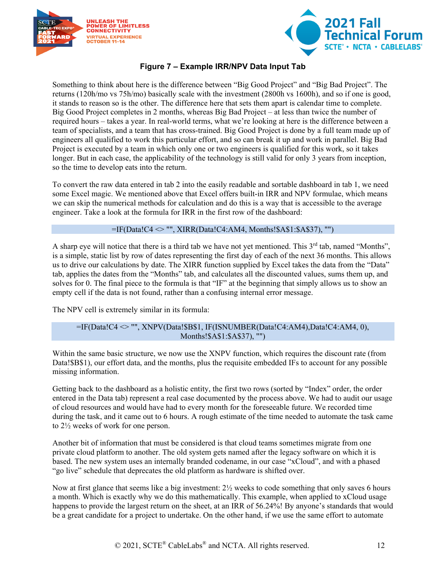



#### **Figure 7 – Example IRR/NPV Data Input Tab**

<span id="page-11-0"></span>Something to think about here is the difference between "Big Good Project" and "Big Bad Project". The returns (120h/mo vs 75h/mo) basically scale with the investment (2800h vs 1600h), and so if one is good, it stands to reason so is the other. The difference here that sets them apart is calendar time to complete. Big Good Project completes in 2 months, whereas Big Bad Project – at less than twice the number of required hours – takes a year. In real-world terms, what we're looking at here is the difference between a team of specialists, and a team that has cross-trained. Big Good Project is done by a full team made up of engineers all qualified to work this particular effort, and so can break it up and work in parallel. Big Bad Project is executed by a team in which only one or two engineers is qualified for this work, so it takes longer. But in each case, the applicability of the technology is still valid for only 3 years from inception, so the time to develop eats into the return.

To convert the raw data entered in tab 2 into the easily readable and sortable dashboard in tab 1, we need some Excel magic. We mentioned above that Excel offers built-in IRR and NPV formulae, which means we can skip the numerical methods for calculation and do this is a way that is accessible to the average engineer. Take a look at the formula for IRR in the first row of the dashboard:

=IF(Data!C4 <> "", XIRR(Data!C4:AM4, Months!\$A\$1:\$A\$37), "")

A sharp eye will notice that there is a third tab we have not yet mentioned. This  $3<sup>rd</sup>$  tab, named "Months", is a simple, static list by row of dates representing the first day of each of the next 36 months. This allows us to drive our calculations by date. The XIRR function supplied by Excel takes the data from the "Data" tab, applies the dates from the "Months" tab, and calculates all the discounted values, sums them up, and solves for 0. The final piece to the formula is that "IF" at the beginning that simply allows us to show an empty cell if the data is not found, rather than a confusing internal error message.

The NPV cell is extremely similar in its formula:

#### =IF(Data!C4 <> "", XNPV(Data!\$B\$1, IF(ISNUMBER(Data!C4:AM4),Data!C4:AM4, 0), Months!\$A\$1:\$A\$37), "")

Within the same basic structure, we now use the XNPV function, which requires the discount rate (from Data!\$B\$1), our effort data, and the months, plus the requisite embedded IFs to account for any possible missing information.

Getting back to the dashboard as a holistic entity, the first two rows (sorted by "Index" order, the order entered in the Data tab) represent a real case documented by the process above. We had to audit our usage of cloud resources and would have had to every month for the foreseeable future. We recorded time during the task, and it came out to 6 hours. A rough estimate of the time needed to automate the task came to 2½ weeks of work for one person.

Another bit of information that must be considered is that cloud teams sometimes migrate from one private cloud platform to another. The old system gets named after the legacy software on which it is based. The new system uses an internally branded codename, in our case "xCloud", and with a phased "go live" schedule that deprecates the old platform as hardware is shifted over.

Now at first glance that seems like a big investment: 2½ weeks to code something that only saves 6 hours a month. Which is exactly why we do this mathematically. This example, when applied to xCloud usage happens to provide the largest return on the sheet, at an IRR of 56.24%! By anyone's standards that would be a great candidate for a project to undertake. On the other hand, if we use the same effort to automate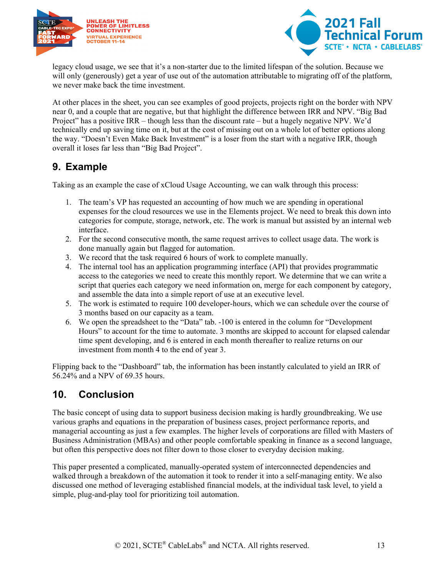



legacy cloud usage, we see that it's a non-starter due to the limited lifespan of the solution. Because we will only (generously) get a year of use out of the automation attributable to migrating off of the platform, we never make back the time investment.

At other places in the sheet, you can see examples of good projects, projects right on the border with NPV near 0, and a couple that are negative, but that highlight the difference between IRR and NPV. "Big Bad Project" has a positive IRR – though less than the discount rate – but a hugely negative NPV. We'd technically end up saving time on it, but at the cost of missing out on a whole lot of better options along the way. "Doesn't Even Make Back Investment" is a loser from the start with a negative IRR, though overall it loses far less than "Big Bad Project".

## <span id="page-12-0"></span>**9. Example**

Taking as an example the case of xCloud Usage Accounting, we can walk through this process:

- 1. The team's VP has requested an accounting of how much we are spending in operational expenses for the cloud resources we use in the Elements project. We need to break this down into categories for compute, storage, network, etc. The work is manual but assisted by an internal web interface.
- 2. For the second consecutive month, the same request arrives to collect usage data. The work is done manually again but flagged for automation.
- 3. We record that the task required 6 hours of work to complete manually.
- 4. The internal tool has an application programming interface (API) that provides programmatic access to the categories we need to create this monthly report. We determine that we can write a script that queries each category we need information on, merge for each component by category, and assemble the data into a simple report of use at an executive level.
- 5. The work is estimated to require 100 developer-hours, which we can schedule over the course of 3 months based on our capacity as a team.
- 6. We open the spreadsheet to the "Data" tab. -100 is entered in the column for "Development Hours" to account for the time to automate. 3 months are skipped to account for elapsed calendar time spent developing, and 6 is entered in each month thereafter to realize returns on our investment from month 4 to the end of year 3.

Flipping back to the "Dashboard" tab, the information has been instantly calculated to yield an IRR of 56.24% and a NPV of 69.35 hours.

## <span id="page-12-1"></span>**10. Conclusion**

The basic concept of using data to support business decision making is hardly groundbreaking. We use various graphs and equations in the preparation of business cases, project performance reports, and managerial accounting as just a few examples. The higher levels of corporations are filled with Masters of Business Administration (MBAs) and other people comfortable speaking in finance as a second language, but often this perspective does not filter down to those closer to everyday decision making.

This paper presented a complicated, manually-operated system of interconnected dependencies and walked through a breakdown of the automation it took to render it into a self-managing entity. We also discussed one method of leveraging established financial models, at the individual task level, to yield a simple, plug-and-play tool for prioritizing toil automation.